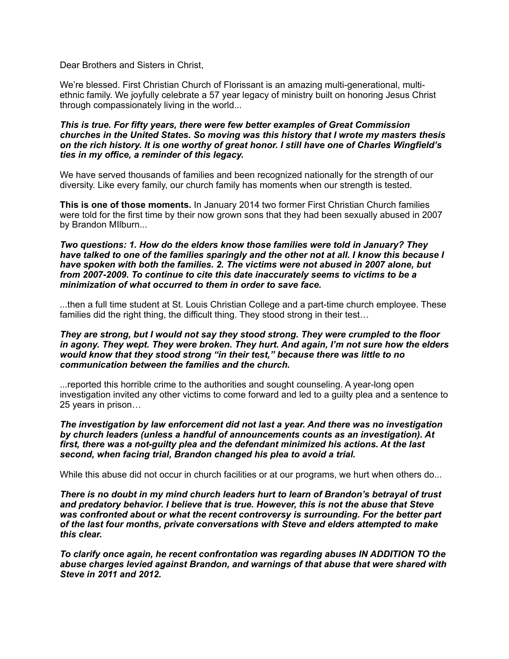Dear Brothers and Sisters in Christ,

We're blessed. First Christian Church of Florissant is an amazing multi-generational, multiethnic family. We joyfully celebrate a 57 year legacy of ministry built on honoring Jesus Christ through compassionately living in the world...

## *This is true. For fifty years, there were few better examples of Great Commission churches in the United States. So moving was this history that I wrote my masters thesis on the rich history. It is one worthy of great honor. I still have one of Charles Wingfield's ties in my office, a reminder of this legacy.*

We have served thousands of families and been recognized nationally for the strength of our diversity. Like every family, our church family has moments when our strength is tested.

**This is one of those moments.** In January 2014 two former First Christian Church families were told for the first time by their now grown sons that they had been sexually abused in 2007 by Brandon MIlburn...

#### *Two questions: 1. How do the elders know those families were told in January? They have talked to one of the families sparingly and the other not at all. I know this because I have spoken with both the families. 2. The victims were not abused in 2007 alone, but from 2007-2009. To continue to cite this date inaccurately seems to victims to be a minimization of what occurred to them in order to save face.*

...then a full time student at St. Louis Christian College and a part-time church employee. These families did the right thing, the difficult thing. They stood strong in their test…

## *They are strong, but I would not say they stood strong. They were crumpled to the floor in agony. They wept. They were broken. They hurt. And again, I'm not sure how the elders would know that they stood strong "in their test," because there was little to no communication between the families and the church.*

...reported this horrible crime to the authorities and sought counseling. A year-long open investigation invited any other victims to come forward and led to a guilty plea and a sentence to 25 years in prison…

## *The investigation by law enforcement did not last a year. And there was no investigation by church leaders (unless a handful of announcements counts as an investigation). At first, there was a not-guilty plea and the defendant minimized his actions. At the last second, when facing trial, Brandon changed his plea to avoid a trial.*

While this abuse did not occur in church facilities or at our programs, we hurt when others do...

*There is no doubt in my mind church leaders hurt to learn of Brandon's betrayal of trust and predatory behavior. I believe that is true. However, this is not the abuse that Steve was confronted about or what the recent controversy is surrounding. For the better part of the last four months, private conversations with Steve and elders attempted to make this clear.* 

*To clarify once again, he recent confrontation was regarding abuses IN ADDITION TO the abuse charges levied against Brandon, and warnings of that abuse that were shared with Steve in 2011 and 2012.*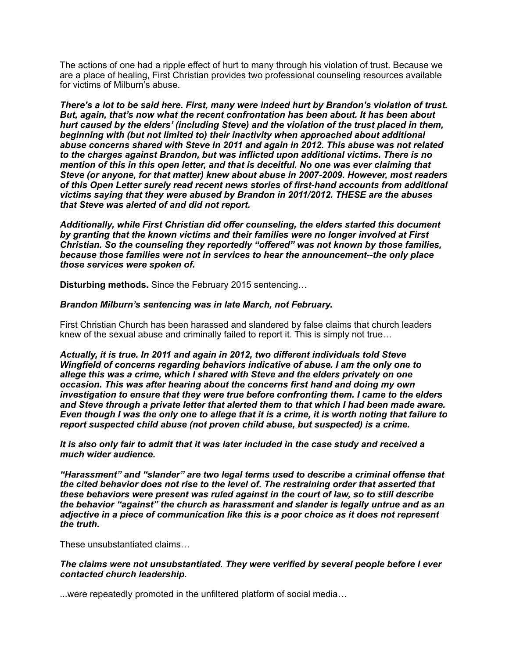The actions of one had a ripple effect of hurt to many through his violation of trust. Because we are a place of healing, First Christian provides two professional counseling resources available for victims of Milburn's abuse.

*There's a lot to be said here. First, many were indeed hurt by Brandon's violation of trust. But, again, that's now what the recent confrontation has been about. It has been about hurt caused by the elders' (including Steve) and the violation of the trust placed in them, beginning with (but not limited to) their inactivity when approached about additional abuse concerns shared with Steve in 2011 and again in 2012. This abuse was not related to the charges against Brandon, but was inflicted upon additional victims. There is no mention of this in this open letter, and that is deceitful. No one was ever claiming that Steve (or anyone, for that matter) knew about abuse in 2007-2009. However, most readers of this Open Letter surely read recent news stories of first-hand accounts from additional victims saying that they were abused by Brandon in 2011/2012. THESE are the abuses that Steve was alerted of and did not report.*

*Additionally, while First Christian did offer counseling, the elders started this document by granting that the known victims and their families were no longer involved at First Christian. So the counseling they reportedly "offered" was not known by those families, because those families were not in services to hear the announcement--the only place those services were spoken of.* 

**Disturbing methods.** Since the February 2015 sentencing…

# *Brandon Milburn's sentencing was in late March, not February.*

First Christian Church has been harassed and slandered by false claims that church leaders knew of the sexual abuse and criminally failed to report it. This is simply not true…

*Actually, it is true. In 2011 and again in 2012, two different individuals told Steve Wingfield of concerns regarding behaviors indicative of abuse. I am the only one to allege this was a crime, which I shared with Steve and the elders privately on one occasion. This was after hearing about the concerns first hand and doing my own investigation to ensure that they were true before confronting them. I came to the elders and Steve through a private letter that alerted them to that which I had been made aware. Even though I was the only one to allege that it is a crime, it is worth noting that failure to report suspected child abuse (not proven child abuse, but suspected) is a crime.*

*It is also only fair to admit that it was later included in the case study and received a much wider audience.*

*"Harassment" and "slander" are two legal terms used to describe a criminal offense that the cited behavior does not rise to the level of. The restraining order that asserted that these behaviors were present was ruled against in the court of law, so to still describe the behavior "against" the church as harassment and slander is legally untrue and as an adjective in a piece of communication like this is a poor choice as it does not represent the truth.*

These unsubstantiated claims…

*The claims were not unsubstantiated. They were verified by several people before I ever contacted church leadership.*

...were repeatedly promoted in the unfiltered platform of social media…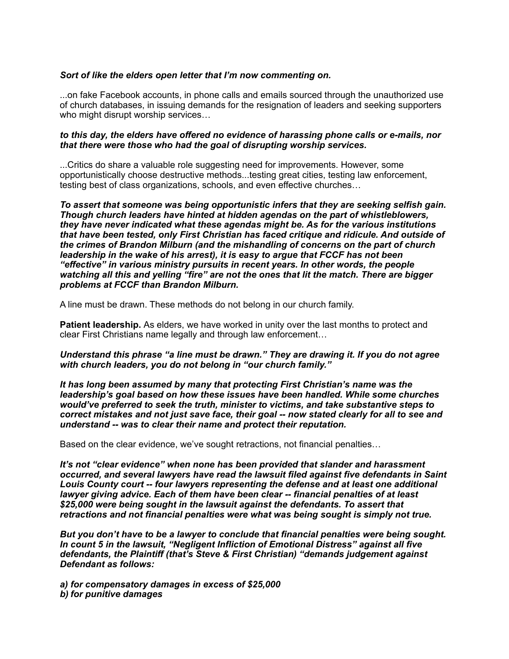# *Sort of like the elders open letter that I'm now commenting on.*

...on fake Facebook accounts, in phone calls and emails sourced through the unauthorized use of church databases, in issuing demands for the resignation of leaders and seeking supporters who might disrupt worship services…

# *to this day, the elders have offered no evidence of harassing phone calls or e-mails, nor that there were those who had the goal of disrupting worship services.*

...Critics do share a valuable role suggesting need for improvements. However, some opportunistically choose destructive methods...testing great cities, testing law enforcement, testing best of class organizations, schools, and even effective churches…

*To assert that someone was being opportunistic infers that they are seeking selfish gain. Though church leaders have hinted at hidden agendas on the part of whistleblowers, they have never indicated what these agendas might be. As for the various institutions that have been tested, only First Christian has faced critique and ridicule. And outside of the crimes of Brandon Milburn (and the mishandling of concerns on the part of church leadership in the wake of his arrest), it is easy to argue that FCCF has not been "effective" in various ministry pursuits in recent years. In other words, the people watching all this and yelling "fire" are not the ones that lit the match. There are bigger problems at FCCF than Brandon Milburn.*

A line must be drawn. These methods do not belong in our church family.

**Patient leadership.** As elders, we have worked in unity over the last months to protect and clear First Christians name legally and through law enforcement…

## *Understand this phrase "a line must be drawn." They are drawing it. If you do not agree with church leaders, you do not belong in "our church family."*

*It has long been assumed by many that protecting First Christian's name was the leadership's goal based on how these issues have been handled. While some churches would've preferred to seek the truth, minister to victims, and take substantive steps to correct mistakes and not just save face, their goal -- now stated clearly for all to see and understand -- was to clear their name and protect their reputation.*

Based on the clear evidence, we've sought retractions, not financial penalties…

*It's not "clear evidence" when none has been provided that slander and harassment occurred, and several lawyers have read the lawsuit filed against five defendants in Saint Louis County court -- four lawyers representing the defense and at least one additional lawyer giving advice. Each of them have been clear -- financial penalties of at least \$25,000 were being sought in the lawsuit against the defendants. To assert that retractions and not financial penalties were what was being sought is simply not true.*

*But you don't have to be a lawyer to conclude that financial penalties were being sought. In count 5 in the lawsuit, "Negligent Infliction of Emotional Distress" against all five defendants, the Plaintiff (that's Steve & First Christian) "demands judgement against Defendant as follows:*

*a) for compensatory damages in excess of \$25,000 b) for punitive damages*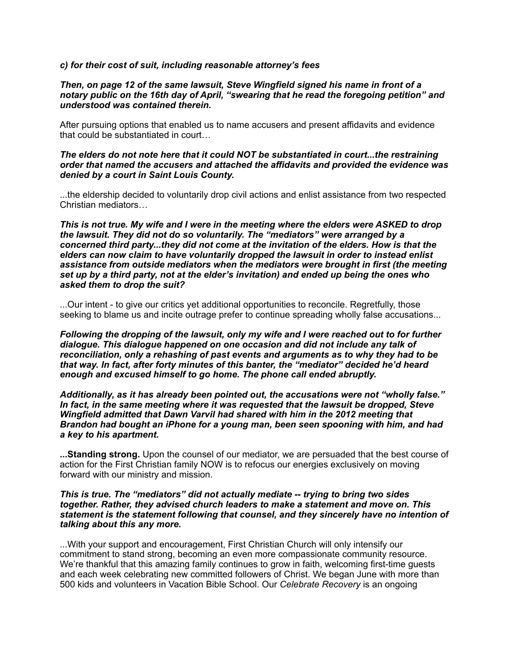# *c) for their cost of suit, including reasonable attorney's fees*

*Then, on page 12 of the same lawsuit, Steve Wingfield signed his name in front of a notary public on the 16th day of April, "swearing that he read the foregoing petition" and understood was contained therein.* 

After pursuing options that enabled us to name accusers and present affidavits and evidence that could be substantiated in court…

#### *The elders do not note here that it could NOT be substantiated in court...the restraining order that named the accusers and attached the affidavits and provided the evidence was denied by a court in Saint Louis County.*

...the eldership decided to voluntarily drop civil actions and enlist assistance from two respected Christian mediators…

*This is not true. My wife and I were in the meeting where the elders were ASKED to drop the lawsuit. They did not do so voluntarily. The "mediators" were arranged by a concerned third party...they did not come at the invitation of the elders. How is that the elders can now claim to have voluntarily dropped the lawsuit in order to instead enlist assistance from outside mediators when the mediators were brought in first (the meeting set up by a third party, not at the elder's invitation) and ended up being the ones who asked them to drop the suit?*

...Our intent - to give our critics yet additional opportunities to reconcile. Regretfully, those seeking to blame us and incite outrage prefer to continue spreading wholly false accusations...

*Following the dropping of the lawsuit, only my wife and I were reached out to for further dialogue. This dialogue happened on one occasion and did not include any talk of reconciliation, only a rehashing of past events and arguments as to why they had to be that way. In fact, after forty minutes of this banter, the "mediator" decided he'd heard enough and excused himself to go home. The phone call ended abruptly.*

*Additionally, as it has already been pointed out, the accusations were not "wholly false." In fact, in the same meeting where it was requested that the lawsuit be dropped, Steve Wingfield admitted that Dawn Varvil had shared with him in the 2012 meeting that Brandon had bought an iPhone for a young man, been seen spooning with him, and had a key to his apartment.*

**...Standing strong.** Upon the counsel of our mediator, we are persuaded that the best course of action for the First Christian family NOW is to refocus our energies exclusively on moving forward with our ministry and mission.

## *This is true. The "mediators" did not actually mediate -- trying to bring two sides together. Rather, they advised church leaders to make a statement and move on. This statement is the statement following that counsel, and they sincerely have no intention of talking about this any more.*

...With your support and encouragement, First Christian Church will only intensify our commitment to stand strong, becoming an even more compassionate community resource. We're thankful that this amazing family continues to grow in faith, welcoming first-time guests and each week celebrating new committed followers of Christ. We began June with more than 500 kids and volunteers in Vacation Bible School. Our *Celebrate Recovery* is an ongoing